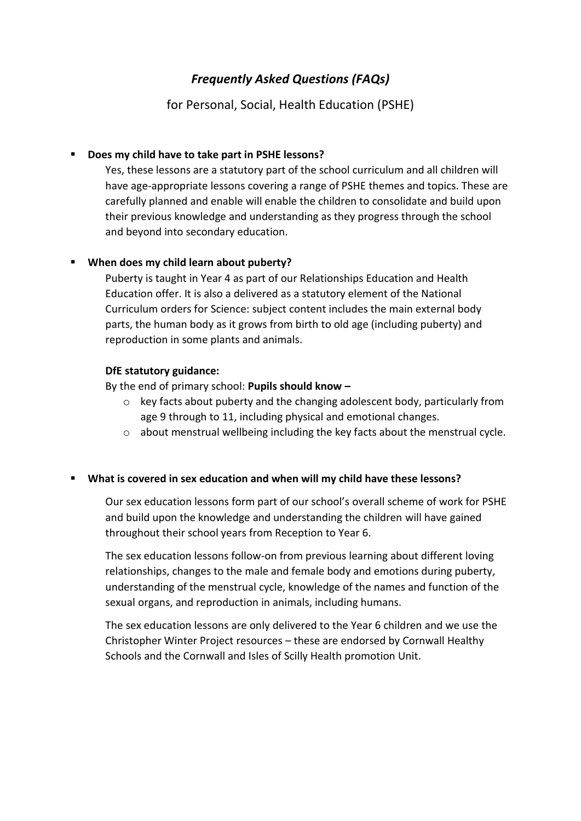# *Frequently Asked Questions (FAQs)*

for Personal, Social, Health Education (PSHE)

## **Does my child have to take part in PSHE lessons?**

Yes, these lessons are a statutory part of the school curriculum and all children will have age-appropriate lessons covering a range of PSHE themes and topics. These are carefully planned and enable will enable the children to consolidate and build upon their previous knowledge and understanding as they progress through the school and beyond into secondary education.

## **When does my child learn about puberty?**

Puberty is taught in Year 4 as part of our Relationships Education and Health Education offer. It is also a delivered as a statutory element of the National Curriculum orders for Science: subject content includes the main external body parts, the human body as it grows from birth to old age (including puberty) and reproduction in some plants and animals.

## **DfE statutory guidance:**

By the end of primary school: **Pupils should know –**

- o key facts about puberty and the changing adolescent body, particularly from age 9 through to 11, including physical and emotional changes.
- o about menstrual wellbeing including the key facts about the menstrual cycle.

## **What is covered in sex education and when will my child have these lessons?**

Our sex education lessons form part of our school's overall scheme of work for PSHE and build upon the knowledge and understanding the children will have gained throughout their school years from Reception to Year 6.

The sex education lessons follow-on from previous learning about different loving relationships, changes to the male and female body and emotions during puberty, understanding of the menstrual cycle, knowledge of the names and function of the sexual organs, and reproduction in animals, including humans.

The sex education lessons are only delivered to the Year 6 children and we use the Christopher Winter Project resources – these are endorsed by Cornwall Healthy Schools and the Cornwall and Isles of Scilly Health promotion Unit.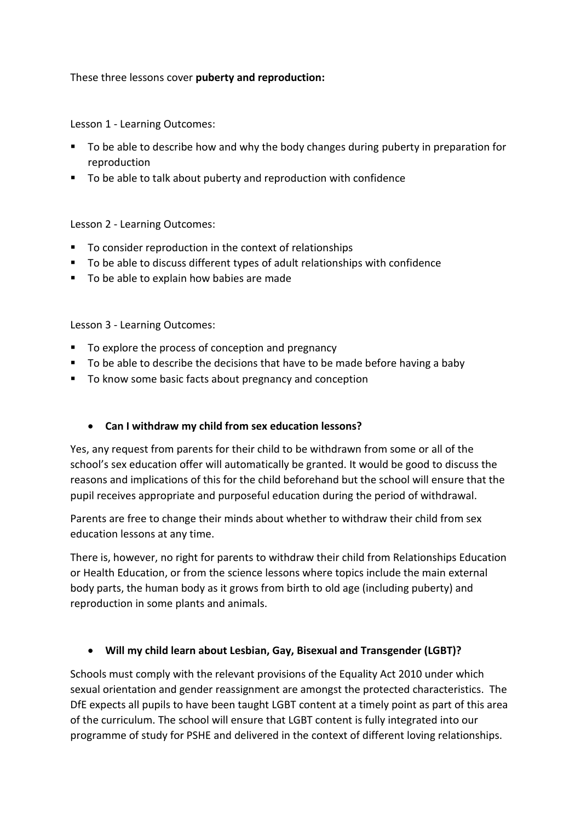## These three lessons cover **puberty and reproduction:**

Lesson 1 - Learning Outcomes:

- To be able to describe how and why the body changes during puberty in preparation for reproduction
- To be able to talk about puberty and reproduction with confidence

Lesson 2 - Learning Outcomes:

- To consider reproduction in the context of relationships
- To be able to discuss different types of adult relationships with confidence
- To be able to explain how babies are made

Lesson 3 - Learning Outcomes:

- To explore the process of conception and pregnancy
- To be able to describe the decisions that have to be made before having a baby
- To know some basic facts about pregnancy and conception

## **Can I withdraw my child from sex education lessons?**

Yes, any request from parents for their child to be withdrawn from some or all of the school's sex education offer will automatically be granted. It would be good to discuss the reasons and implications of this for the child beforehand but the school will ensure that the pupil receives appropriate and purposeful education during the period of withdrawal.

Parents are free to change their minds about whether to withdraw their child from sex education lessons at any time.

There is, however, no right for parents to withdraw their child from Relationships Education or Health Education, or from the science lessons where topics include the main external body parts, the human body as it grows from birth to old age (including puberty) and reproduction in some plants and animals.

## **Will my child learn about Lesbian, Gay, Bisexual and Transgender (LGBT)?**

Schools must comply with the relevant provisions of the Equality Act 2010 under which sexual orientation and gender reassignment are amongst the protected characteristics. The DfE expects all pupils to have been taught LGBT content at a timely point as part of this area of the curriculum. The school will ensure that LGBT content is fully integrated into our programme of study for PSHE and delivered in the context of different loving relationships.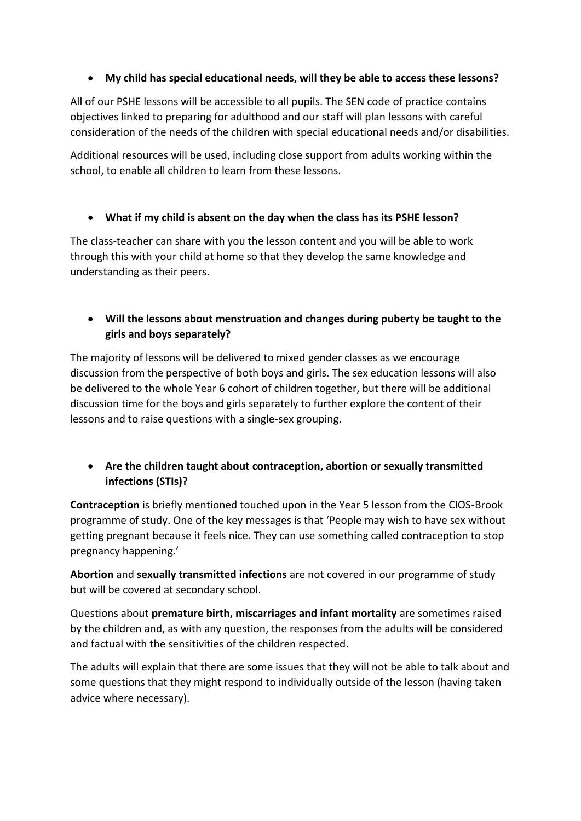## **My child has special educational needs, will they be able to access these lessons?**

All of our PSHE lessons will be accessible to all pupils. The SEN code of practice contains objectives linked to preparing for adulthood and our staff will plan lessons with careful consideration of the needs of the children with special educational needs and/or disabilities.

Additional resources will be used, including close support from adults working within the school, to enable all children to learn from these lessons.

## **What if my child is absent on the day when the class has its PSHE lesson?**

The class-teacher can share with you the lesson content and you will be able to work through this with your child at home so that they develop the same knowledge and understanding as their peers.

# **Will the lessons about menstruation and changes during puberty be taught to the girls and boys separately?**

The majority of lessons will be delivered to mixed gender classes as we encourage discussion from the perspective of both boys and girls. The sex education lessons will also be delivered to the whole Year 6 cohort of children together, but there will be additional discussion time for the boys and girls separately to further explore the content of their lessons and to raise questions with a single-sex grouping.

# **Are the children taught about contraception, abortion or sexually transmitted infections (STIs)?**

**Contraception** is briefly mentioned touched upon in the Year 5 lesson from the CIOS-Brook programme of study. One of the key messages is that 'People may wish to have sex without getting pregnant because it feels nice. They can use something called contraception to stop pregnancy happening.'

**Abortion** and **sexually transmitted infections** are not covered in our programme of study but will be covered at secondary school.

Questions about **premature birth, miscarriages and infant mortality** are sometimes raised by the children and, as with any question, the responses from the adults will be considered and factual with the sensitivities of the children respected.

The adults will explain that there are some issues that they will not be able to talk about and some questions that they might respond to individually outside of the lesson (having taken advice where necessary).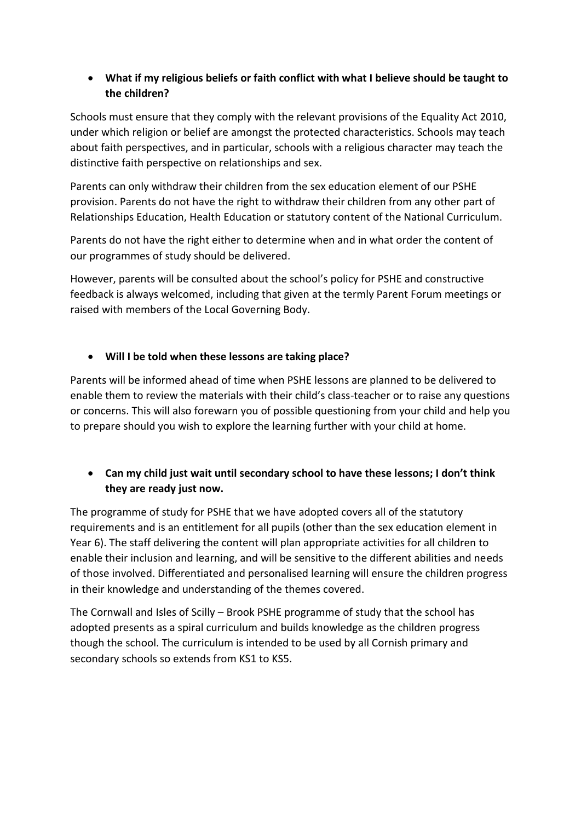# **What if my religious beliefs or faith conflict with what I believe should be taught to the children?**

Schools must ensure that they comply with the relevant provisions of the Equality Act 2010, under which religion or belief are amongst the protected characteristics. Schools may teach about faith perspectives, and in particular, schools with a religious character may teach the distinctive faith perspective on relationships and sex.

Parents can only withdraw their children from the sex education element of our PSHE provision. Parents do not have the right to withdraw their children from any other part of Relationships Education, Health Education or statutory content of the National Curriculum.

Parents do not have the right either to determine when and in what order the content of our programmes of study should be delivered.

However, parents will be consulted about the school's policy for PSHE and constructive feedback is always welcomed, including that given at the termly Parent Forum meetings or raised with members of the Local Governing Body.

# **Will I be told when these lessons are taking place?**

Parents will be informed ahead of time when PSHE lessons are planned to be delivered to enable them to review the materials with their child's class-teacher or to raise any questions or concerns. This will also forewarn you of possible questioning from your child and help you to prepare should you wish to explore the learning further with your child at home.

# **Can my child just wait until secondary school to have these lessons; I don't think they are ready just now.**

The programme of study for PSHE that we have adopted covers all of the statutory requirements and is an entitlement for all pupils (other than the sex education element in Year 6). The staff delivering the content will plan appropriate activities for all children to enable their inclusion and learning, and will be sensitive to the different abilities and needs of those involved. Differentiated and personalised learning will ensure the children progress in their knowledge and understanding of the themes covered.

The Cornwall and Isles of Scilly – Brook PSHE programme of study that the school has adopted presents as a spiral curriculum and builds knowledge as the children progress though the school. The curriculum is intended to be used by all Cornish primary and secondary schools so extends from KS1 to KS5.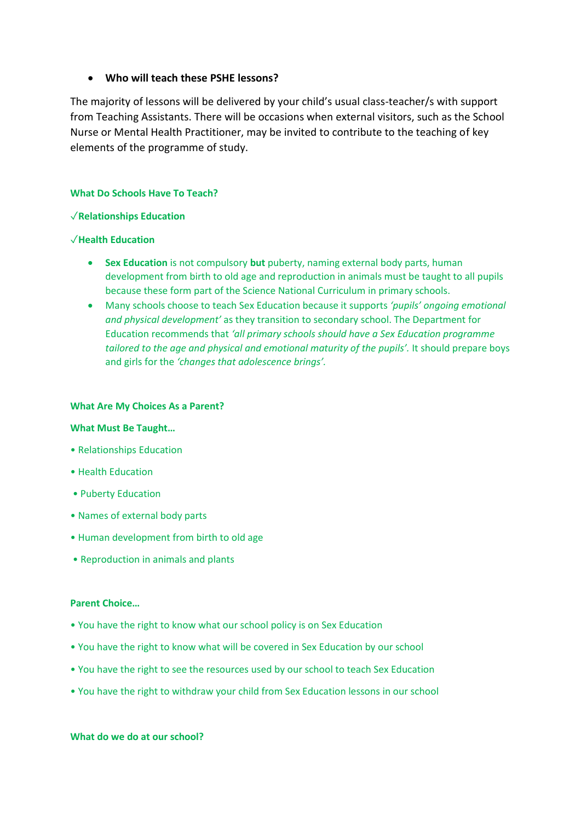## **Who will teach these PSHE lessons?**

The majority of lessons will be delivered by your child's usual class-teacher/s with support from Teaching Assistants. There will be occasions when external visitors, such as the School Nurse or Mental Health Practitioner, may be invited to contribute to the teaching of key elements of the programme of study.

### **What Do Schools Have To Teach?**

### ✓**Relationships Education**

### ✓**Health Education**

- **Sex Education** is not compulsory **but** puberty, naming external body parts, human development from birth to old age and reproduction in animals must be taught to all pupils because these form part of the Science National Curriculum in primary schools.
- Many schools choose to teach Sex Education because it supports *'pupils' ongoing emotional and physical development'* as they transition to secondary school. The Department for Education recommends that *'all primary schools should have a Sex Education programme tailored to the age and physical and emotional maturity of the pupils'.* It should prepare boys and girls for the *'changes that adolescence brings'.*

### **What Are My Choices As a Parent?**

### **What Must Be Taught…**

- Relationships Education
- Health Education
- Puberty Education
- Names of external body parts
- Human development from birth to old age
- Reproduction in animals and plants

### **Parent Choice…**

- You have the right to know what our school policy is on Sex Education
- You have the right to know what will be covered in Sex Education by our school
- You have the right to see the resources used by our school to teach Sex Education
- You have the right to withdraw your child from Sex Education lessons in our school

**What do we do at our school?**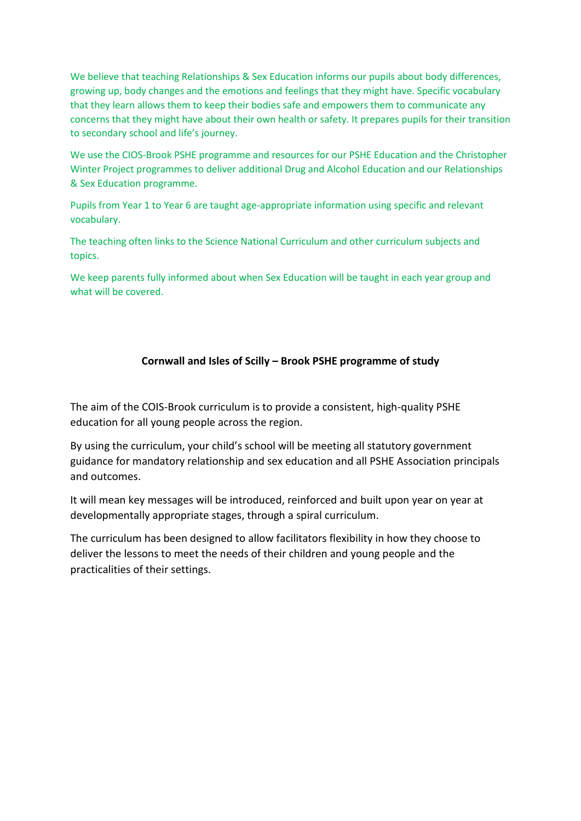We believe that teaching Relationships & Sex Education informs our pupils about body differences, growing up, body changes and the emotions and feelings that they might have. Specific vocabulary that they learn allows them to keep their bodies safe and empowers them to communicate any concerns that they might have about their own health or safety. It prepares pupils for their transition to secondary school and life's journey.

We use the CIOS-Brook PSHE programme and resources for our PSHE Education and the Christopher Winter Project programmes to deliver additional Drug and Alcohol Education and our Relationships & Sex Education programme.

Pupils from Year 1 to Year 6 are taught age-appropriate information using specific and relevant vocabulary.

The teaching often links to the Science National Curriculum and other curriculum subjects and topics.

We keep parents fully informed about when Sex Education will be taught in each year group and what will be covered.

## **Cornwall and Isles of Scilly – Brook PSHE programme of study**

The aim of the COIS-Brook curriculum is to provide a consistent, high-quality PSHE education for all young people across the region.

By using the curriculum, your child's school will be meeting all statutory government guidance for mandatory relationship and sex education and all PSHE Association principals and outcomes.

It will mean key messages will be introduced, reinforced and built upon year on year at developmentally appropriate stages, through a spiral curriculum.

The curriculum has been designed to allow facilitators flexibility in how they choose to deliver the lessons to meet the needs of their children and young people and the practicalities of their settings.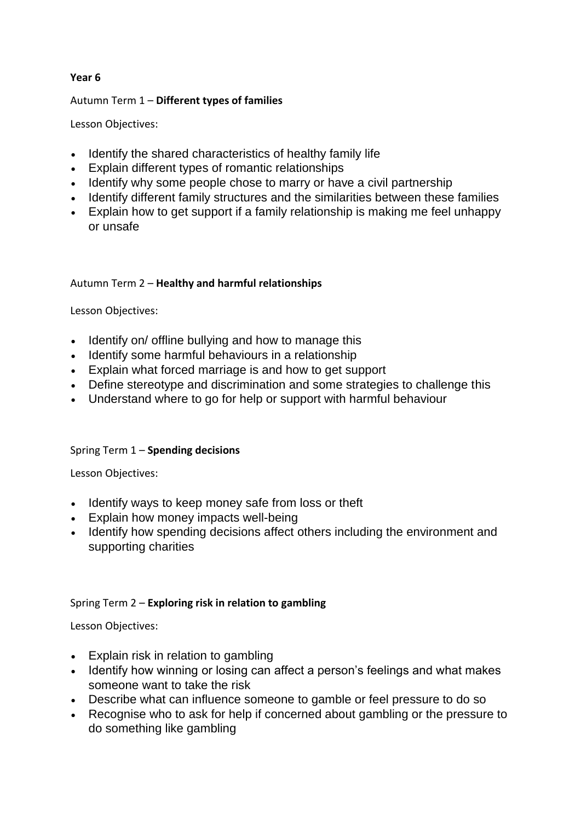## **Year 6**

## Autumn Term 1 – **Different types of families**

Lesson Objectives:

- Identify the shared characteristics of healthy family life
- Explain different types of romantic relationships
- Identify why some people chose to marry or have a civil partnership
- Identify different family structures and the similarities between these families
- Explain how to get support if a family relationship is making me feel unhappy or unsafe

## Autumn Term 2 – **Healthy and harmful relationships**

Lesson Objectives:

- Identify on/ offline bullying and how to manage this
- Identify some harmful behaviours in a relationship
- Explain what forced marriage is and how to get support
- Define stereotype and discrimination and some strategies to challenge this
- Understand where to go for help or support with harmful behaviour

## Spring Term 1 – **Spending decisions**

Lesson Objectives:

- Identify ways to keep money safe from loss or theft
- Explain how money impacts well-being
- Identify how spending decisions affect others including the environment and supporting charities

## Spring Term 2 – **Exploring risk in relation to gambling**

Lesson Objectives:

- Explain risk in relation to gambling
- Identify how winning or losing can affect a person's feelings and what makes someone want to take the risk
- Describe what can influence someone to gamble or feel pressure to do so
- Recognise who to ask for help if concerned about gambling or the pressure to do something like gambling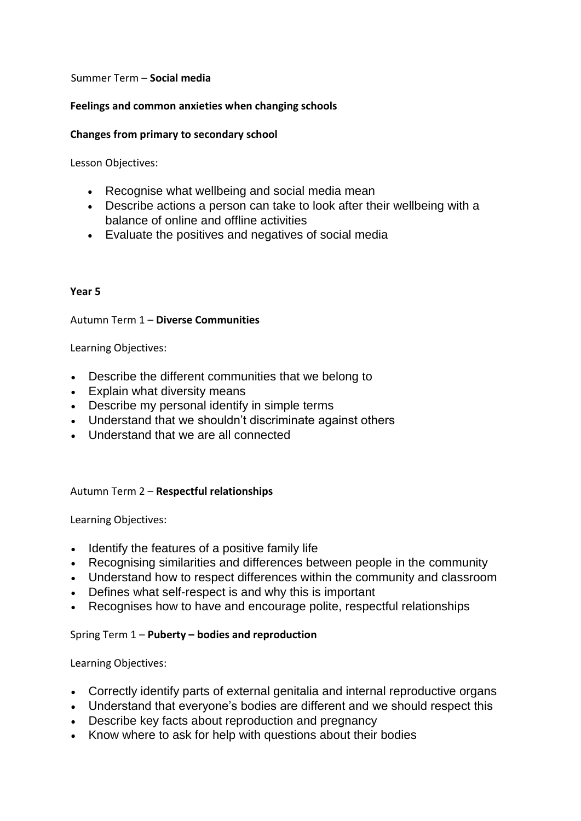## Summer Term – **Social media**

## **Feelings and common anxieties when changing schools**

## **Changes from primary to secondary school**

Lesson Objectives:

- Recognise what wellbeing and social media mean
- Describe actions a person can take to look after their wellbeing with a balance of online and offline activities
- Evaluate the positives and negatives of social media

## **Year 5**

## Autumn Term 1 – **Diverse Communities**

Learning Objectives:

- Describe the different communities that we belong to
- Explain what diversity means
- Describe my personal identify in simple terms
- Understand that we shouldn't discriminate against others
- Understand that we are all connected

## Autumn Term 2 – **Respectful relationships**

Learning Objectives:

- Identify the features of a positive family life
- Recognising similarities and differences between people in the community
- Understand how to respect differences within the community and classroom
- Defines what self-respect is and why this is important
- Recognises how to have and encourage polite, respectful relationships

## Spring Term 1 – **Puberty – bodies and reproduction**

- Correctly identify parts of external genitalia and internal reproductive organs
- Understand that everyone's bodies are different and we should respect this
- Describe key facts about reproduction and pregnancy
- Know where to ask for help with questions about their bodies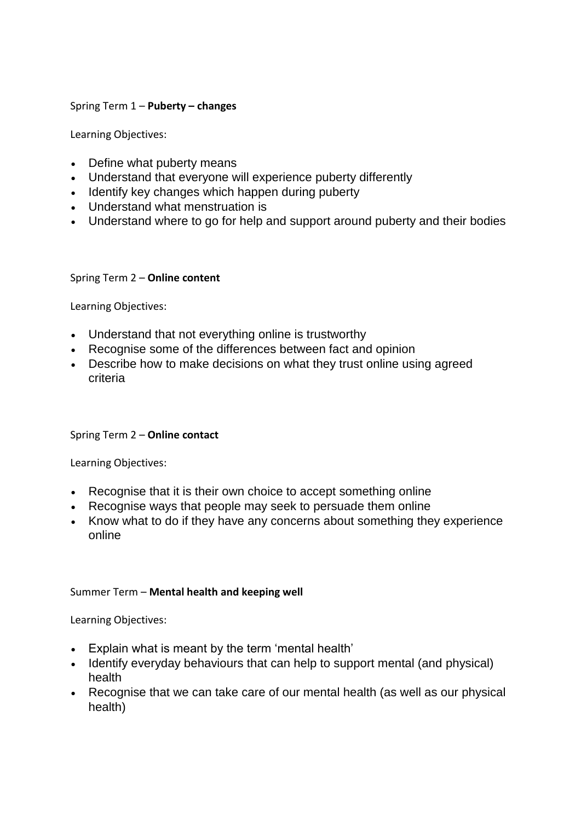## Spring Term 1 – **Puberty – changes**

Learning Objectives:

- Define what puberty means
- Understand that everyone will experience puberty differently
- Identify key changes which happen during puberty
- Understand what menstruation is
- Understand where to go for help and support around puberty and their bodies

## Spring Term 2 – **Online content**

Learning Objectives:

- Understand that not everything online is trustworthy
- Recognise some of the differences between fact and opinion
- Describe how to make decisions on what they trust online using agreed criteria

## Spring Term 2 – **Online contact**

Learning Objectives:

- Recognise that it is their own choice to accept something online
- Recognise ways that people may seek to persuade them online
- Know what to do if they have any concerns about something they experience online

## Summer Term – **Mental health and keeping well**

- Explain what is meant by the term 'mental health'
- Identify everyday behaviours that can help to support mental (and physical) health
- Recognise that we can take care of our mental health (as well as our physical health)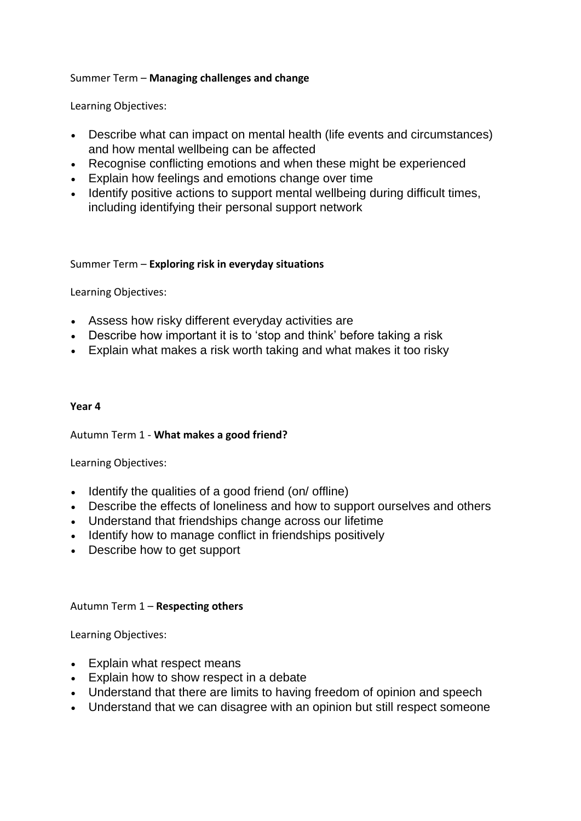## Summer Term – **Managing challenges and change**

Learning Objectives:

- Describe what can impact on mental health (life events and circumstances) and how mental wellbeing can be affected
- Recognise conflicting emotions and when these might be experienced
- Explain how feelings and emotions change over time
- Identify positive actions to support mental wellbeing during difficult times, including identifying their personal support network

## Summer Term – **Exploring risk in everyday situations**

Learning Objectives:

- Assess how risky different everyday activities are
- Describe how important it is to 'stop and think' before taking a risk
- Explain what makes a risk worth taking and what makes it too risky

## **Year 4**

Autumn Term 1 - **What makes a good friend?**

Learning Objectives:

- Identify the qualities of a good friend (on/ offline)
- Describe the effects of loneliness and how to support ourselves and others
- Understand that friendships change across our lifetime
- Identify how to manage conflict in friendships positively
- Describe how to get support

## Autumn Term 1 – **Respecting others**

- Explain what respect means
- Explain how to show respect in a debate
- Understand that there are limits to having freedom of opinion and speech
- Understand that we can disagree with an opinion but still respect someone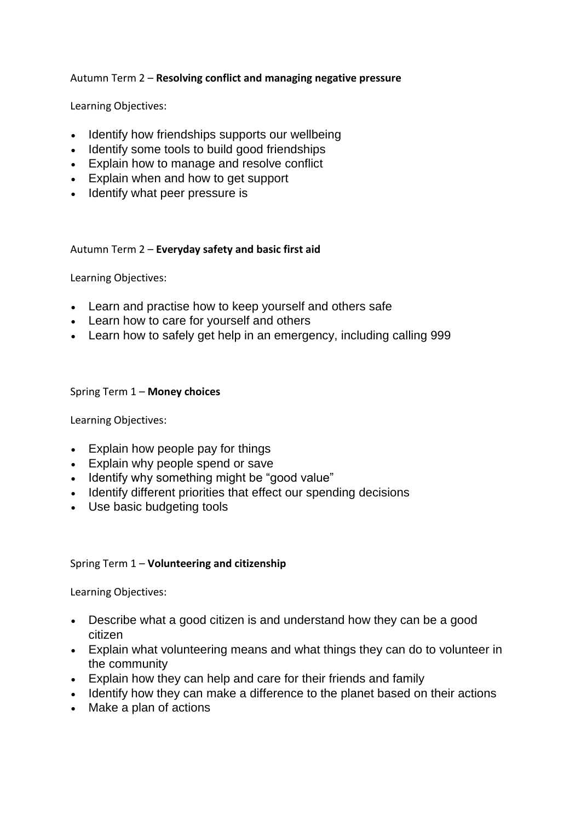## Autumn Term 2 – **Resolving conflict and managing negative pressure**

Learning Objectives:

- Identify how friendships supports our wellbeing
- Identify some tools to build good friendships
- Explain how to manage and resolve conflict
- Explain when and how to get support
- Identify what peer pressure is

## Autumn Term 2 – **Everyday safety and basic first aid**

Learning Objectives:

- Learn and practise how to keep yourself and others safe
- Learn how to care for yourself and others
- Learn how to safely get help in an emergency, including calling 999

## Spring Term 1 – **Money choices**

Learning Objectives:

- Explain how people pay for things
- Explain why people spend or save
- Identify why something might be "good value"
- Identify different priorities that effect our spending decisions
- Use basic budgeting tools

## Spring Term 1 – **Volunteering and citizenship**

- Describe what a good citizen is and understand how they can be a good citizen
- Explain what volunteering means and what things they can do to volunteer in the community
- Explain how they can help and care for their friends and family
- Identify how they can make a difference to the planet based on their actions
- Make a plan of actions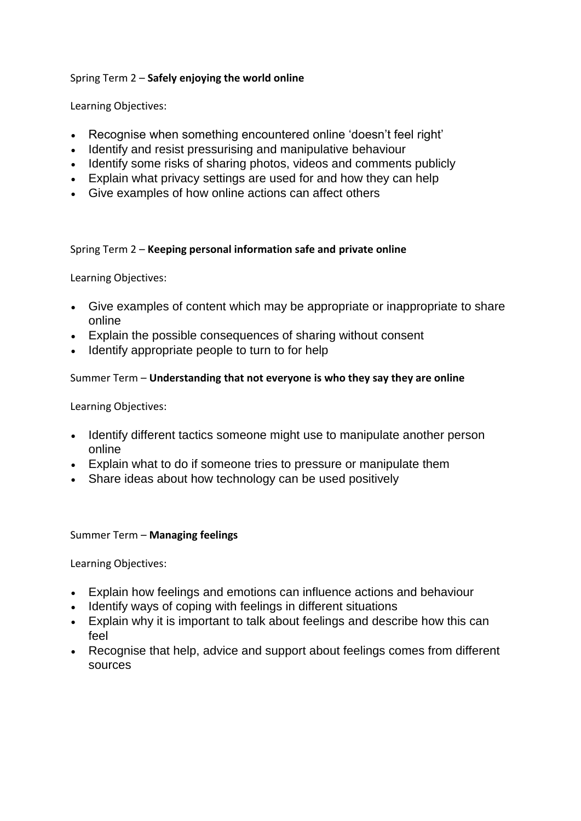## Spring Term 2 – **Safely enjoying the world online**

Learning Objectives:

- Recognise when something encountered online 'doesn't feel right'
- Identify and resist pressurising and manipulative behaviour
- Identify some risks of sharing photos, videos and comments publicly
- Explain what privacy settings are used for and how they can help
- Give examples of how online actions can affect others

## Spring Term 2 – **Keeping personal information safe and private online**

Learning Objectives:

- Give examples of content which may be appropriate or inappropriate to share online
- Explain the possible consequences of sharing without consent
- Identify appropriate people to turn to for help

## Summer Term – **Understanding that not everyone is who they say they are online**

Learning Objectives:

- Identify different tactics someone might use to manipulate another person online
- Explain what to do if someone tries to pressure or manipulate them
- Share ideas about how technology can be used positively

## Summer Term – **Managing feelings**

- Explain how feelings and emotions can influence actions and behaviour
- Identify ways of coping with feelings in different situations
- Explain why it is important to talk about feelings and describe how this can feel
- Recognise that help, advice and support about feelings comes from different sources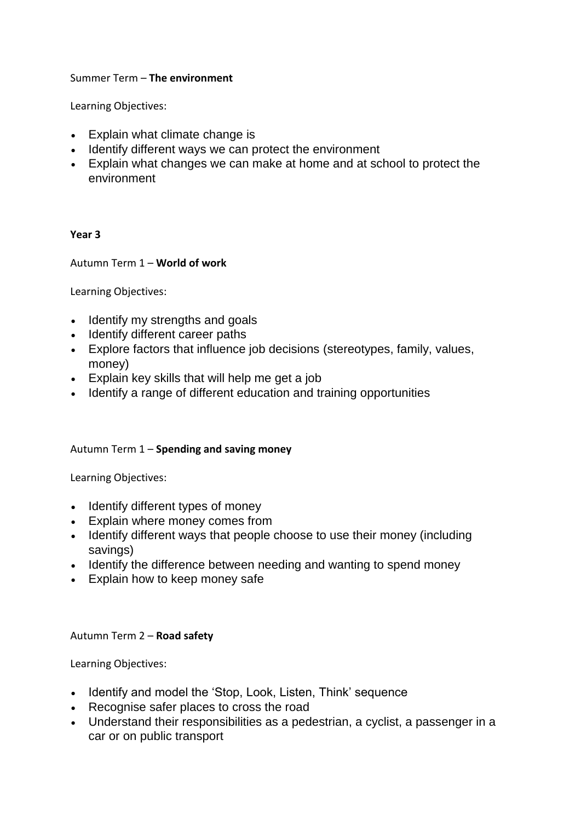## Summer Term – **The environment**

Learning Objectives:

- Explain what climate change is
- Identify different ways we can protect the environment
- Explain what changes we can make at home and at school to protect the environment

## **Year 3**

## Autumn Term 1 – **World of work**

Learning Objectives:

- Identify my strengths and goals
- Identify different career paths
- Explore factors that influence job decisions (stereotypes, family, values, money)
- Explain key skills that will help me get a job
- Identify a range of different education and training opportunities

## Autumn Term 1 – **Spending and saving money**

Learning Objectives:

- Identify different types of money
- Explain where money comes from
- Identify different ways that people choose to use their money (including savings)
- Identify the difference between needing and wanting to spend money
- Explain how to keep money safe

## Autumn Term 2 – **Road safety**

- Identify and model the 'Stop, Look, Listen, Think' sequence
- Recognise safer places to cross the road
- Understand their responsibilities as a pedestrian, a cyclist, a passenger in a car or on public transport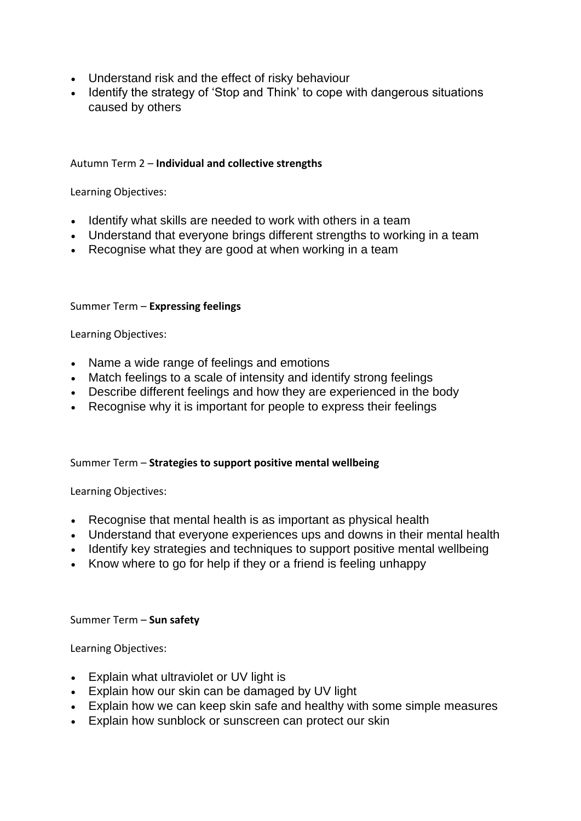- Understand risk and the effect of risky behaviour
- Identify the strategy of 'Stop and Think' to cope with dangerous situations caused by others

## Autumn Term 2 – **Individual and collective strengths**

Learning Objectives:

- Identify what skills are needed to work with others in a team
- Understand that everyone brings different strengths to working in a team
- Recognise what they are good at when working in a team

## Summer Term – **Expressing feelings**

Learning Objectives:

- Name a wide range of feelings and emotions
- Match feelings to a scale of intensity and identify strong feelings
- Describe different feelings and how they are experienced in the body
- Recognise why it is important for people to express their feelings

## Summer Term – **Strategies to support positive mental wellbeing**

Learning Objectives:

- Recognise that mental health is as important as physical health
- Understand that everyone experiences ups and downs in their mental health
- Identify key strategies and techniques to support positive mental wellbeing
- Know where to go for help if they or a friend is feeling unhappy

Summer Term – **Sun safety**

- Explain what ultraviolet or UV light is
- Explain how our skin can be damaged by UV light
- Explain how we can keep skin safe and healthy with some simple measures
- Explain how sunblock or sunscreen can protect our skin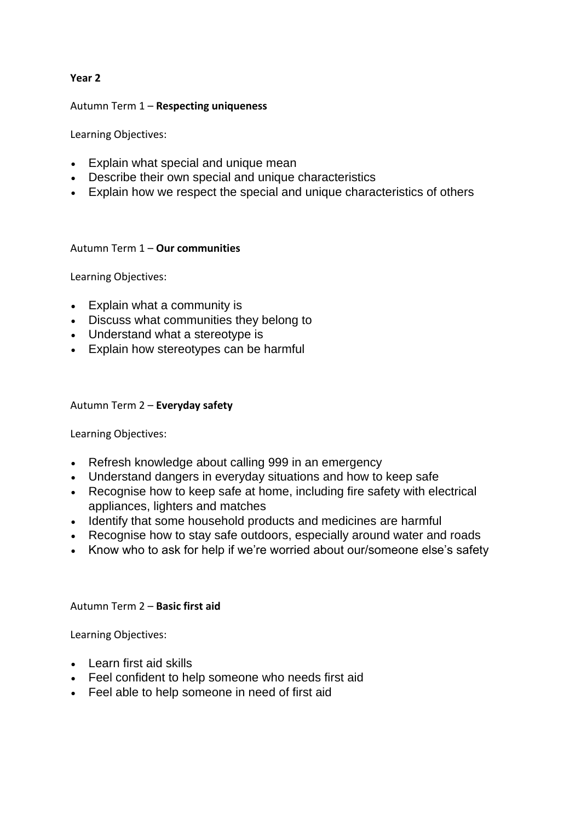## **Year 2**

## Autumn Term 1 – **Respecting uniqueness**

Learning Objectives:

- Explain what special and unique mean
- Describe their own special and unique characteristics
- Explain how we respect the special and unique characteristics of others

## Autumn Term 1 – **Our communities**

Learning Objectives:

- Explain what a community is
- Discuss what communities they belong to
- Understand what a stereotype is
- Explain how stereotypes can be harmful

## Autumn Term 2 – **Everyday safety**

Learning Objectives:

- Refresh knowledge about calling 999 in an emergency
- Understand dangers in everyday situations and how to keep safe
- Recognise how to keep safe at home, including fire safety with electrical appliances, lighters and matches
- Identify that some household products and medicines are harmful
- Recognise how to stay safe outdoors, especially around water and roads
- Know who to ask for help if we're worried about our/someone else's safety

## Autumn Term 2 – **Basic first aid**

- Learn first aid skills
- Feel confident to help someone who needs first aid
- Feel able to help someone in need of first aid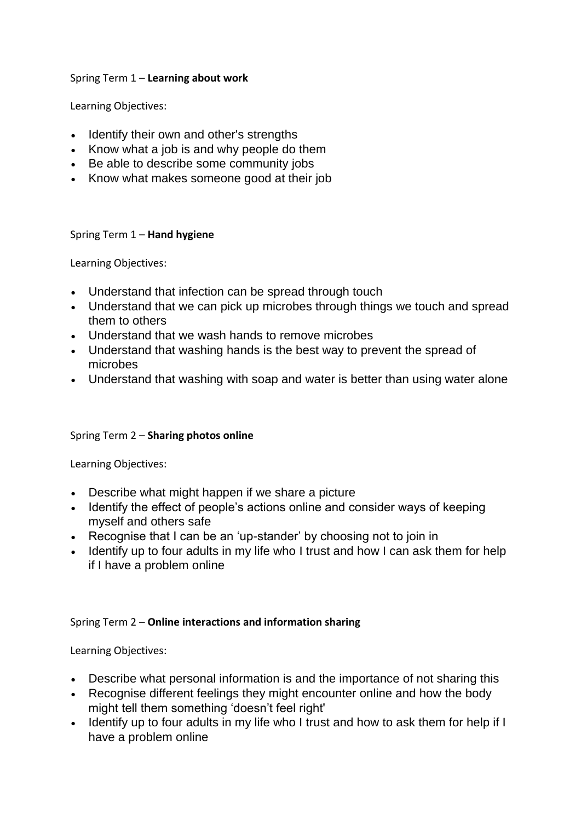## Spring Term 1 – **Learning about work**

Learning Objectives:

- Identify their own and other's strengths
- Know what a job is and why people do them
- Be able to describe some community jobs
- Know what makes someone good at their job

## Spring Term 1 – **Hand hygiene**

Learning Objectives:

- Understand that infection can be spread through touch
- Understand that we can pick up microbes through things we touch and spread them to others
- Understand that we wash hands to remove microbes
- Understand that washing hands is the best way to prevent the spread of microbes
- Understand that washing with soap and water is better than using water alone

# Spring Term 2 – **Sharing photos online**

Learning Objectives:

- Describe what might happen if we share a picture
- Identify the effect of people's actions online and consider ways of keeping myself and others safe
- Recognise that I can be an 'up-stander' by choosing not to join in
- Identify up to four adults in my life who I trust and how I can ask them for help if I have a problem online

# Spring Term 2 – **Online interactions and information sharing**

- Describe what personal information is and the importance of not sharing this
- Recognise different feelings they might encounter online and how the body might tell them something 'doesn't feel right'
- Identify up to four adults in my life who I trust and how to ask them for help if I have a problem online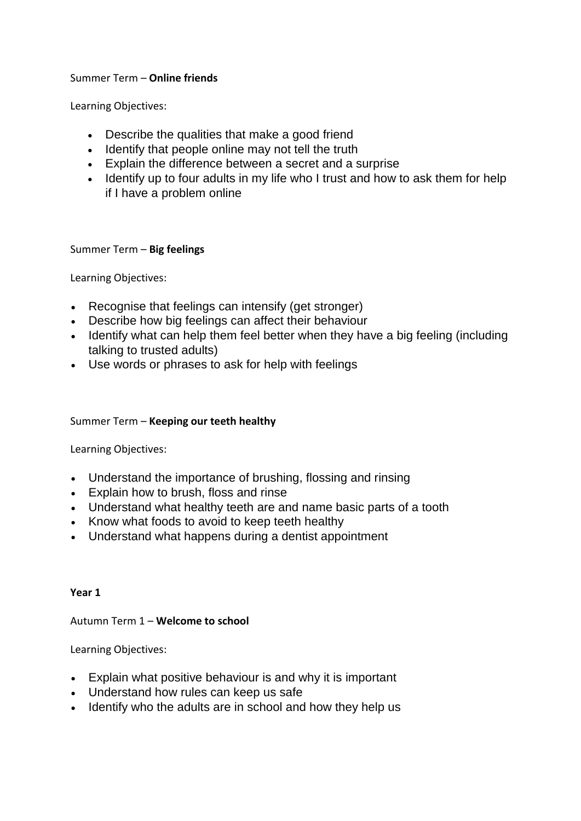## Summer Term – **Online friends**

Learning Objectives:

- Describe the qualities that make a good friend
- Identify that people online may not tell the truth
- Explain the difference between a secret and a surprise
- Identify up to four adults in my life who I trust and how to ask them for help if I have a problem online

## Summer Term – **Big feelings**

Learning Objectives:

- Recognise that feelings can intensify (get stronger)
- Describe how big feelings can affect their behaviour
- Identify what can help them feel better when they have a big feeling (including talking to trusted adults)
- Use words or phrases to ask for help with feelings

## Summer Term – **Keeping our teeth healthy**

Learning Objectives:

- Understand the importance of brushing, flossing and rinsing
- Explain how to brush, floss and rinse
- Understand what healthy teeth are and name basic parts of a tooth
- Know what foods to avoid to keep teeth healthy
- Understand what happens during a dentist appointment

## **Year 1**

## Autumn Term 1 – **Welcome to school**

- Explain what positive behaviour is and why it is important
- Understand how rules can keep us safe
- Identify who the adults are in school and how they help us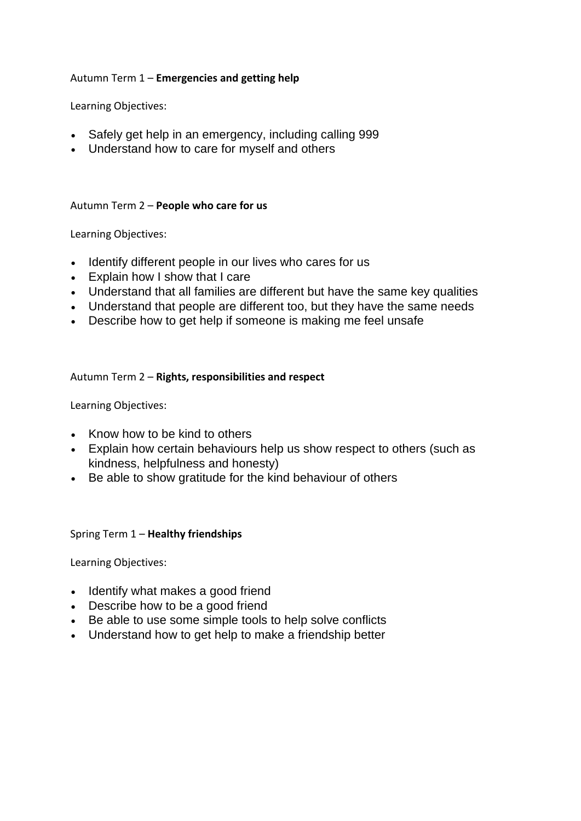## Autumn Term 1 – **Emergencies and getting help**

Learning Objectives:

- Safely get help in an emergency, including calling 999
- Understand how to care for myself and others

## Autumn Term 2 – **People who care for us**

Learning Objectives:

- Identify different people in our lives who cares for us
- Explain how I show that I care
- Understand that all families are different but have the same key qualities
- Understand that people are different too, but they have the same needs
- Describe how to get help if someone is making me feel unsafe

## Autumn Term 2 – **Rights, responsibilities and respect**

Learning Objectives:

- Know how to be kind to others
- Explain how certain behaviours help us show respect to others (such as kindness, helpfulness and honesty)
- Be able to show gratitude for the kind behaviour of others

## Spring Term 1 – **Healthy friendships**

- Identify what makes a good friend
- Describe how to be a good friend
- Be able to use some simple tools to help solve conflicts
- Understand how to get help to make a friendship better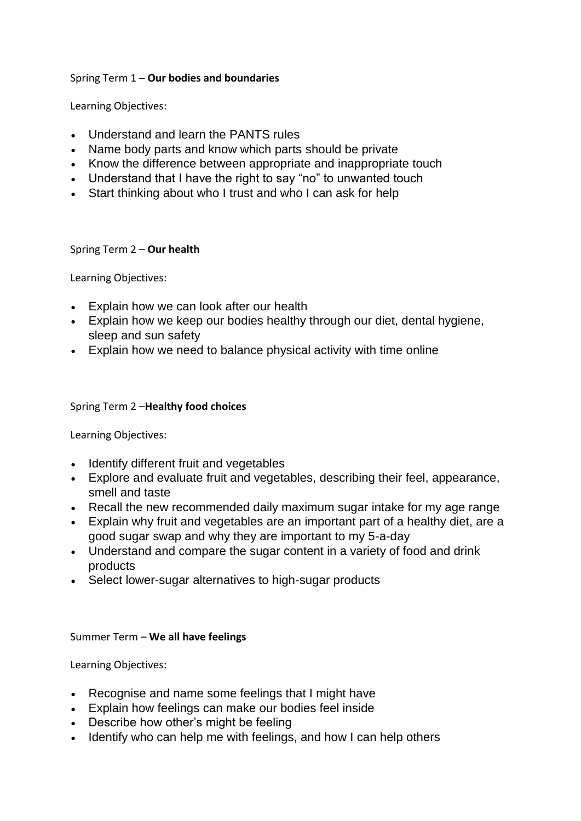## Spring Term 1 – **Our bodies and boundaries**

Learning Objectives:

- Understand and learn the PANTS rules
- Name body parts and know which parts should be private
- Know the difference between appropriate and inappropriate touch
- Understand that I have the right to say "no" to unwanted touch
- Start thinking about who I trust and who I can ask for help

## Spring Term 2 – **Our health**

Learning Objectives:

- Explain how we can look after our health
- Explain how we keep our bodies healthy through our diet, dental hygiene, sleep and sun safety
- Explain how we need to balance physical activity with time online

## Spring Term 2 –**Healthy food choices**

Learning Objectives:

- Identify different fruit and vegetables
- Explore and evaluate fruit and vegetables, describing their feel, appearance, smell and taste
- Recall the new recommended daily maximum sugar intake for my age range
- Explain why fruit and vegetables are an important part of a healthy diet, are a good sugar swap and why they are important to my 5-a-day
- Understand and compare the sugar content in a variety of food and drink products
- Select lower-sugar alternatives to high-sugar products

## Summer Term – **We all have feelings**

- Recognise and name some feelings that I might have
- Explain how feelings can make our bodies feel inside
- Describe how other's might be feeling
- Identify who can help me with feelings, and how I can help others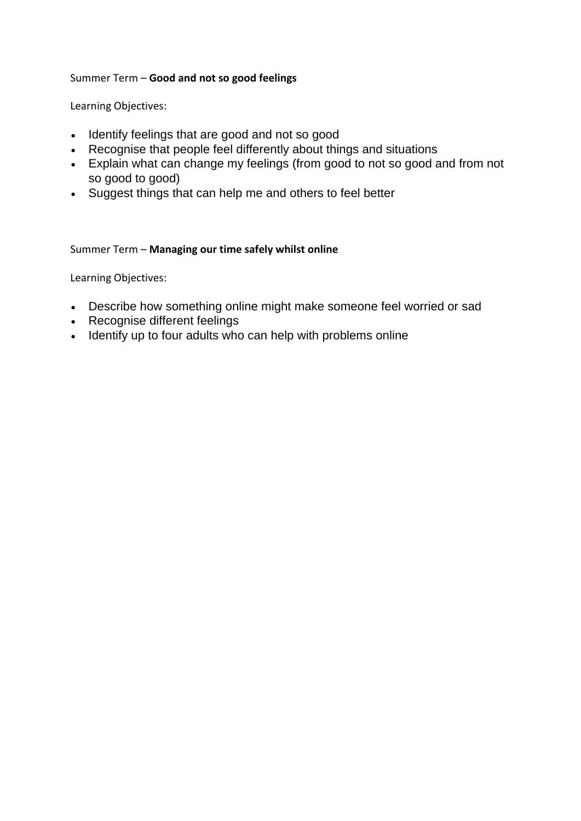## Summer Term – **Good and not so good feelings**

Learning Objectives:

- Identify feelings that are good and not so good
- Recognise that people feel differently about things and situations
- Explain what can change my feelings (from good to not so good and from not so good to good)
- Suggest things that can help me and others to feel better

## Summer Term – **Managing our time safely whilst online**

- Describe how something online might make someone feel worried or sad
- Recognise different feelings
- Identify up to four adults who can help with problems online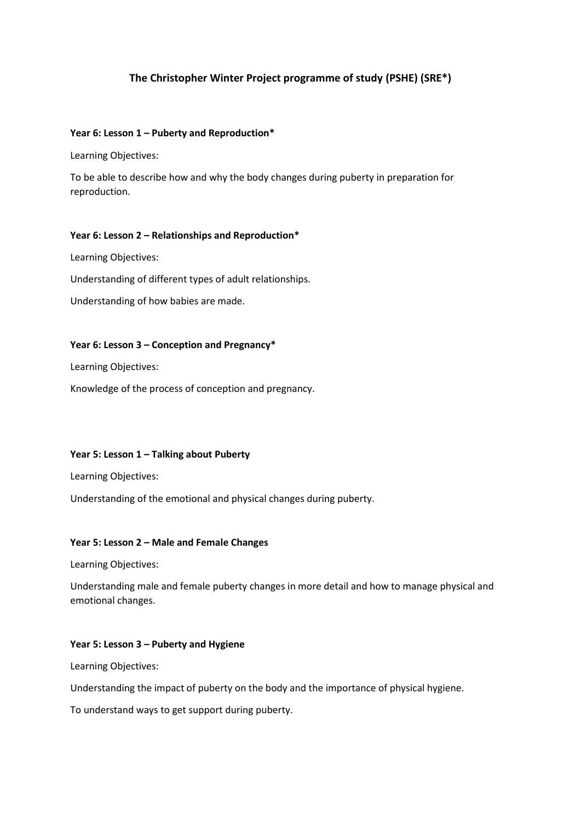## **The Christopher Winter Project programme of study (PSHE) (SRE\*)**

### **Year 6: Lesson 1 – Puberty and Reproduction\***

Learning Objectives:

To be able to describe how and why the body changes during puberty in preparation for reproduction.

### **Year 6: Lesson 2 – Relationships and Reproduction\***

Learning Objectives:

Understanding of different types of adult relationships.

Understanding of how babies are made.

#### **Year 6: Lesson 3 – Conception and Pregnancy\***

Learning Objectives:

Knowledge of the process of conception and pregnancy.

### **Year 5: Lesson 1 – Talking about Puberty**

Learning Objectives:

Understanding of the emotional and physical changes during puberty.

### **Year 5: Lesson 2 – Male and Female Changes**

Learning Objectives:

Understanding male and female puberty changes in more detail and how to manage physical and emotional changes.

### **Year 5: Lesson 3 – Puberty and Hygiene**

Learning Objectives:

Understanding the impact of puberty on the body and the importance of physical hygiene.

To understand ways to get support during puberty.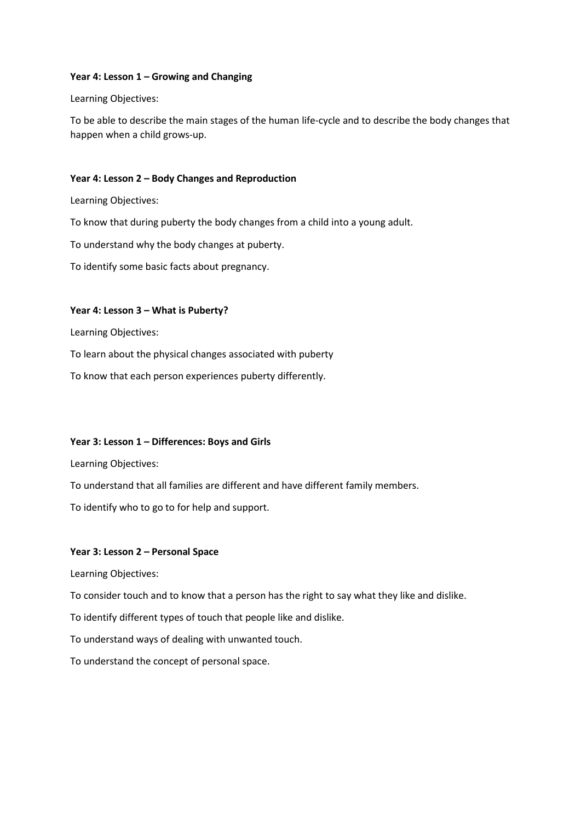### **Year 4: Lesson 1 – Growing and Changing**

Learning Objectives:

To be able to describe the main stages of the human life-cycle and to describe the body changes that happen when a child grows-up.

### **Year 4: Lesson 2 – Body Changes and Reproduction**

Learning Objectives:

To know that during puberty the body changes from a child into a young adult.

To understand why the body changes at puberty.

To identify some basic facts about pregnancy.

### **Year 4: Lesson 3 – What is Puberty?**

Learning Objectives:

To learn about the physical changes associated with puberty

To know that each person experiences puberty differently.

### **Year 3: Lesson 1 – Differences: Boys and Girls**

Learning Objectives:

To understand that all families are different and have different family members.

To identify who to go to for help and support.

### **Year 3: Lesson 2 – Personal Space**

Learning Objectives:

To consider touch and to know that a person has the right to say what they like and dislike.

To identify different types of touch that people like and dislike.

To understand ways of dealing with unwanted touch.

To understand the concept of personal space.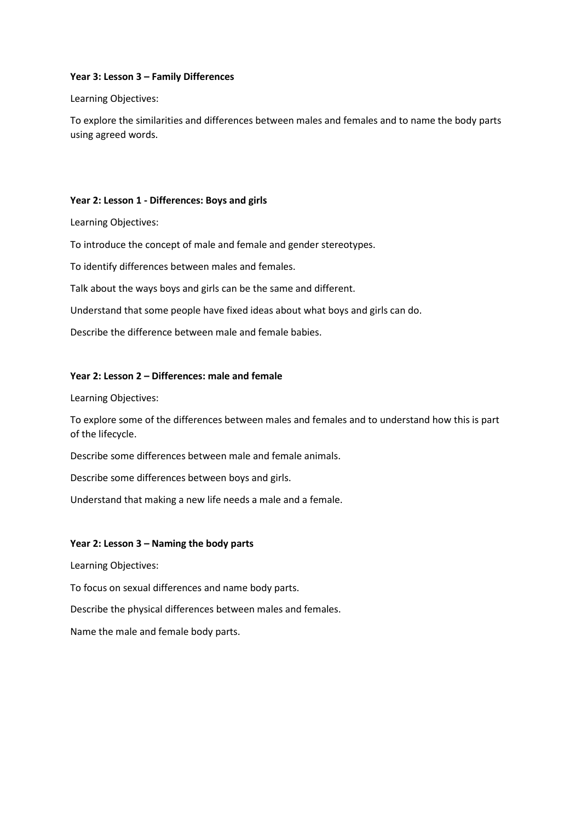### **Year 3: Lesson 3 – Family Differences**

Learning Objectives:

To explore the similarities and differences between males and females and to name the body parts using agreed words.

### **Year 2: Lesson 1 - Differences: Boys and girls**

Learning Objectives:

To introduce the concept of male and female and gender stereotypes.

To identify differences between males and females.

Talk about the ways boys and girls can be the same and different.

Understand that some people have fixed ideas about what boys and girls can do.

Describe the difference between male and female babies.

### **Year 2: Lesson 2 – Differences: male and female**

Learning Objectives:

To explore some of the differences between males and females and to understand how this is part of the lifecycle.

Describe some differences between male and female animals.

Describe some differences between boys and girls.

Understand that making a new life needs a male and a female.

#### **Year 2: Lesson 3 – Naming the body parts**

Learning Objectives:

To focus on sexual differences and name body parts.

Describe the physical differences between males and females.

Name the male and female body parts.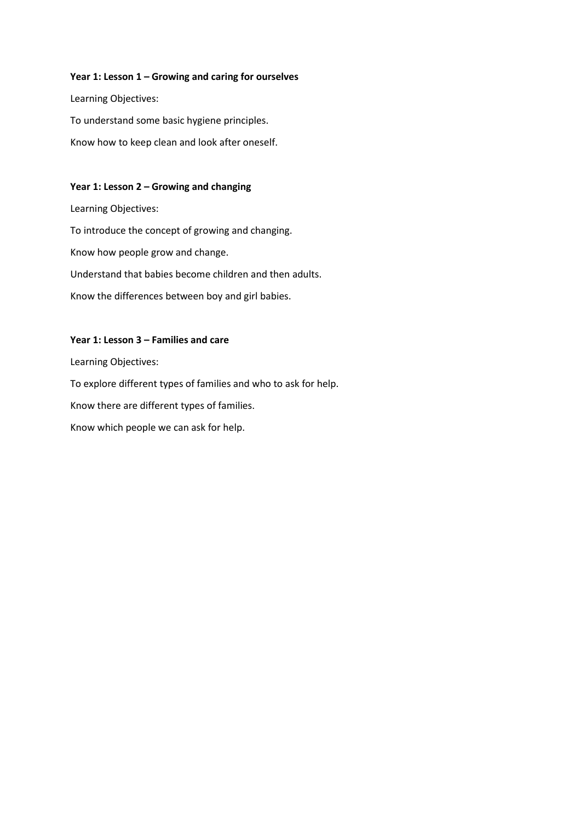### **Year 1: Lesson 1 – Growing and caring for ourselves**

Learning Objectives: To understand some basic hygiene principles. Know how to keep clean and look after oneself.

### **Year 1: Lesson 2 – Growing and changing**

Learning Objectives: To introduce the concept of growing and changing. Know how people grow and change. Understand that babies become children and then adults. Know the differences between boy and girl babies.

### **Year 1: Lesson 3 – Families and care**

Learning Objectives:

To explore different types of families and who to ask for help. Know there are different types of families. Know which people we can ask for help.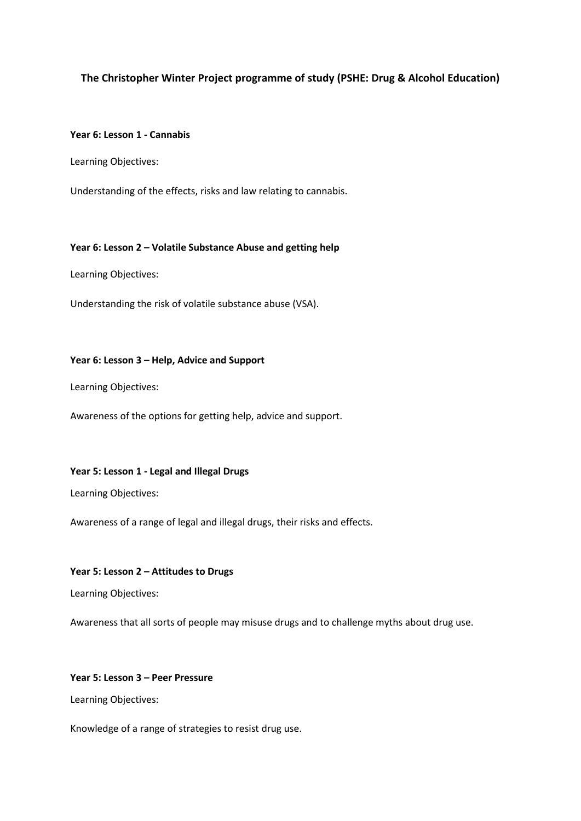### **The Christopher Winter Project programme of study (PSHE: Drug & Alcohol Education)**

### **Year 6: Lesson 1 - Cannabis**

Learning Objectives:

Understanding of the effects, risks and law relating to cannabis.

#### **Year 6: Lesson 2 – Volatile Substance Abuse and getting help**

Learning Objectives:

Understanding the risk of volatile substance abuse (VSA).

### **Year 6: Lesson 3 – Help, Advice and Support**

Learning Objectives:

Awareness of the options for getting help, advice and support.

#### **Year 5: Lesson 1 - Legal and Illegal Drugs**

Learning Objectives:

Awareness of a range of legal and illegal drugs, their risks and effects.

#### **Year 5: Lesson 2 – Attitudes to Drugs**

Learning Objectives:

Awareness that all sorts of people may misuse drugs and to challenge myths about drug use.

#### **Year 5: Lesson 3 – Peer Pressure**

Learning Objectives:

Knowledge of a range of strategies to resist drug use.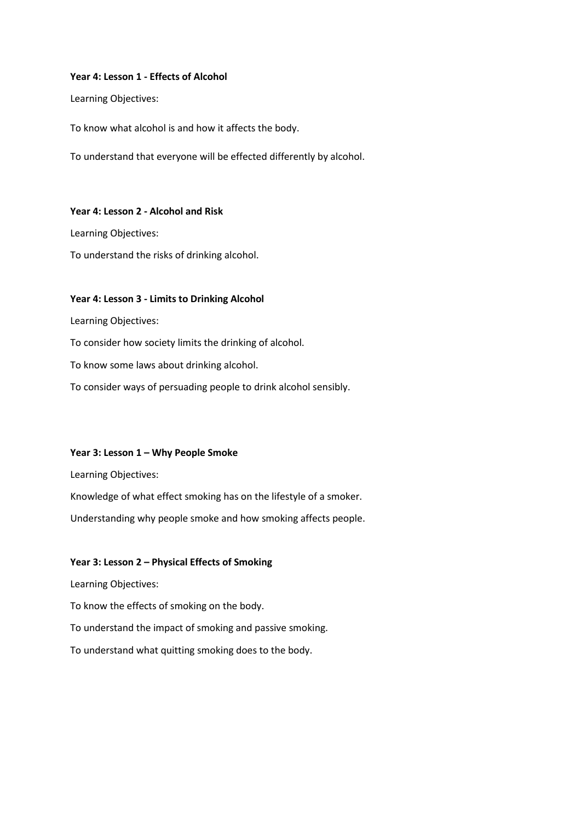#### **Year 4: Lesson 1 - Effects of Alcohol**

Learning Objectives:

To know what alcohol is and how it affects the body.

To understand that everyone will be effected differently by alcohol.

#### **Year 4: Lesson 2 - Alcohol and Risk**

Learning Objectives:

To understand the risks of drinking alcohol.

#### **Year 4: Lesson 3 - Limits to Drinking Alcohol**

Learning Objectives:

To consider how society limits the drinking of alcohol.

To know some laws about drinking alcohol.

To consider ways of persuading people to drink alcohol sensibly.

### **Year 3: Lesson 1 – Why People Smoke**

Learning Objectives:

Knowledge of what effect smoking has on the lifestyle of a smoker.

Understanding why people smoke and how smoking affects people.

### **Year 3: Lesson 2 – Physical Effects of Smoking**

Learning Objectives:

To know the effects of smoking on the body.

To understand the impact of smoking and passive smoking.

To understand what quitting smoking does to the body.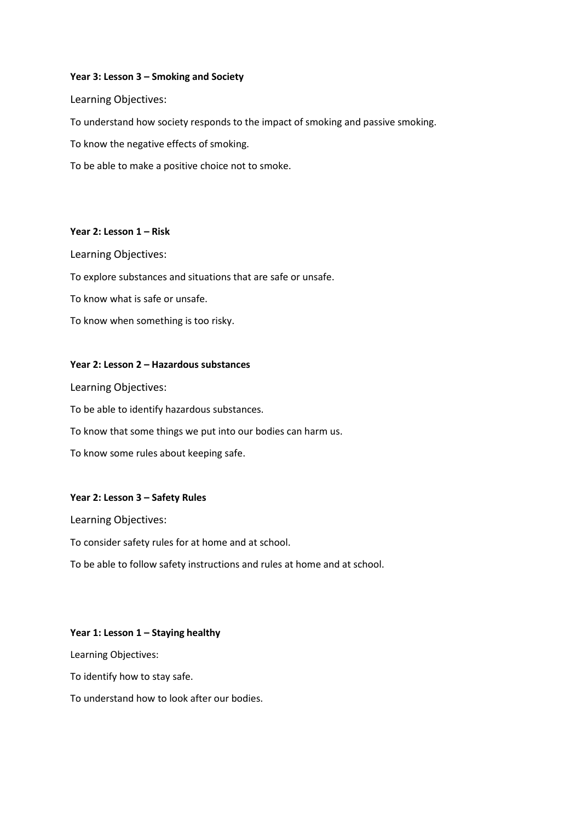### **Year 3: Lesson 3 – Smoking and Society**

Learning Objectives:

To understand how society responds to the impact of smoking and passive smoking.

To know the negative effects of smoking.

To be able to make a positive choice not to smoke.

### **Year 2: Lesson 1 – Risk**

Learning Objectives:

To explore substances and situations that are safe or unsafe.

To know what is safe or unsafe.

To know when something is too risky.

#### **Year 2: Lesson 2 – Hazardous substances**

Learning Objectives:

To be able to identify hazardous substances.

To know that some things we put into our bodies can harm us.

To know some rules about keeping safe.

### **Year 2: Lesson 3 – Safety Rules**

Learning Objectives:

To consider safety rules for at home and at school.

To be able to follow safety instructions and rules at home and at school.

#### **Year 1: Lesson 1 – Staying healthy**

Learning Objectives:

To identify how to stay safe.

To understand how to look after our bodies.